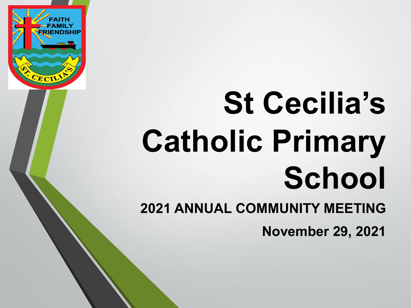

# **St Cecilia's Catholic Primary School**

**2021 ANNUAL COMMUNITY MEETING**

**November 29, 2021**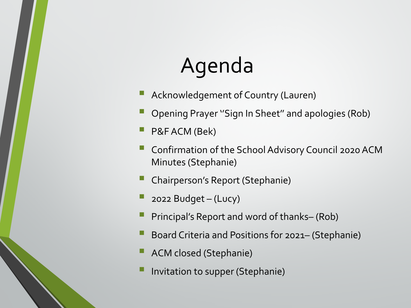# Agenda

- Acknowledgement of Country (Lauren)
- Opening Prayer ''Sign In Sheet'' and apologies (Rob)
- P&F ACM (Bek)
- Confirmation of the School Advisory Council 2020 ACM Minutes (Stephanie)
- Chairperson's Report (Stephanie)
- 2022 Budget  $-$  (Lucy)
- Principal's Report and word of thanks– (Rob)
- Board Criteria and Positions for 2021– (Stephanie)
- ACM closed (Stephanie)
- Invitation to supper (Stephanie)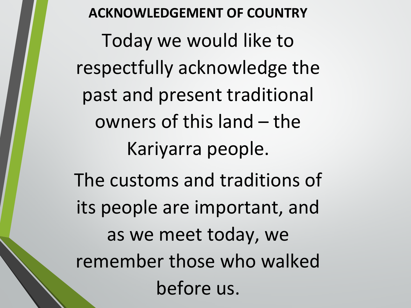**ACKNOWLEDGEMENT OF COUNTRY** Today we would like to respectfully acknowledge the past and present traditional owners of this land – the Kariyarra people. The customs and traditions of its people are important, and as we meet today, we remember those who walked before us.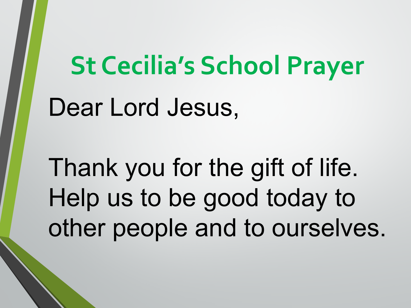# **St Cecilia's School Prayer** Dear Lord Jesus,

Thank you for the gift of life. Help us to be good today to other people and to ourselves.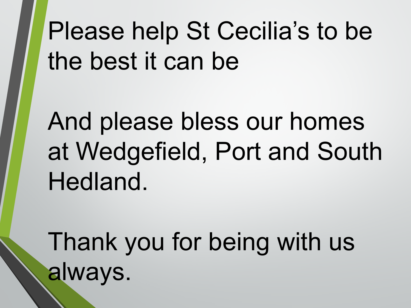Please help St Cecilia's to be the best it can be

And please bless our homes at Wedgefield, Port and South Hedland.

Thank you for being with us always.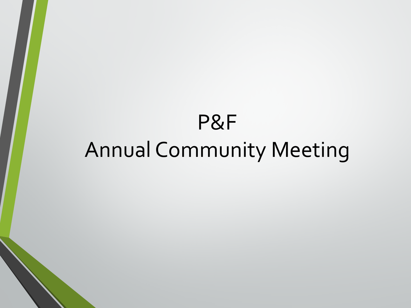# P&F Annual Community Meeting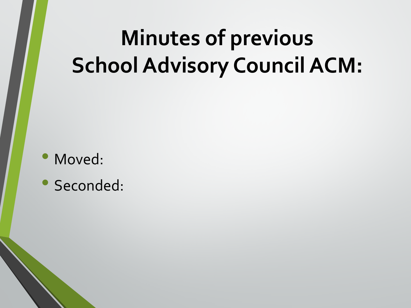# **Minutes of previous School Advisory Council ACM:**

- Moved:
- Seconded: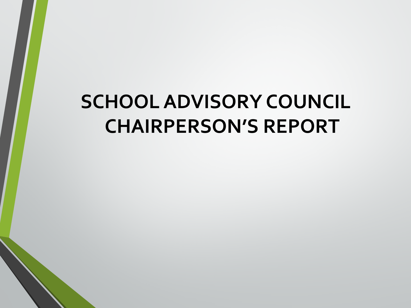# **SCHOOL ADVISORY COUNCIL CHAIRPERSON'S REPORT**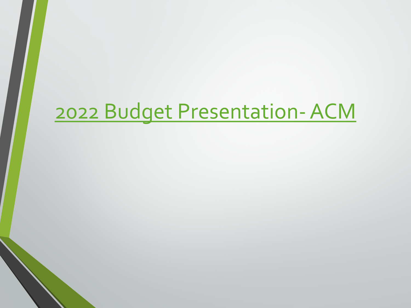# [2022 Budget Presentation-ACM](https://cewaedu-my.sharepoint.com/personal/rob_palladino_cewa_edu_au/Documents/School%20Advisory%20Council/St%20Cecilias/ACM/2021%20Nov/2022%20Budget%20Presentation-%20ACM.pptx?web=1)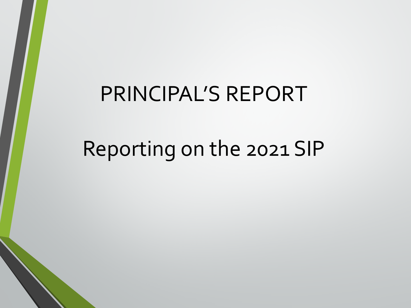# PRINCIPAL'S REPORT

# Reporting on the 2021 SIP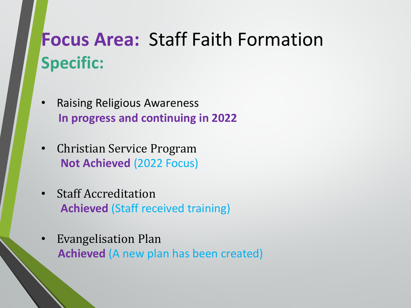# **Focus Area:** Staff Faith Formation **Specific:**

- Raising Religious Awareness **In progress and continuing in 2022**
- Christian Service Program **Not Achieved** (2022 Focus)
- Staff Accreditation **Achieved** (Staff received training)
- Evangelisation Plan **Achieved** (A new plan has been created)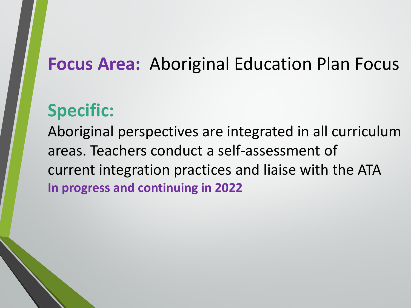#### **Focus Area:** Aboriginal Education Plan Focus

#### **Specific:**

Aboriginal perspectives are integrated in all curriculum areas. Teachers conduct a self-assessment of current integration practices and liaise with the ATA **In progress and continuing in 2022**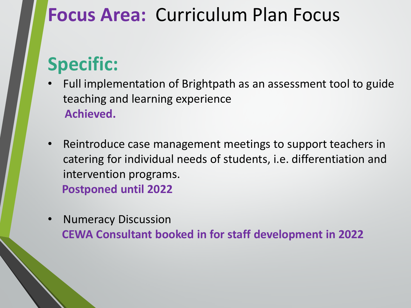### **Focus Area:** Curriculum Plan Focus

## **Specific:**

- Full implementation of Brightpath as an assessment tool to guide teaching and learning experience **Achieved.**
- Reintroduce case management meetings to support teachers in catering for individual needs of students, i.e. differentiation and intervention programs. **Postponed until 2022**
- Numeracy Discussion **CEWA Consultant booked in for staff development in 2022**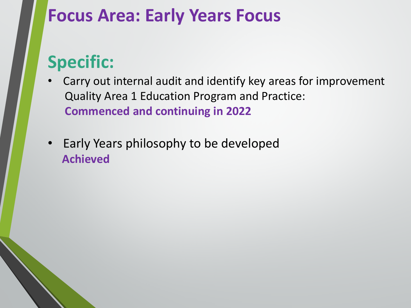#### **Focus Area: Early Years Focus**

### **Specific:**

- Carry out internal audit and identify key areas for improvement Quality Area 1 Education Program and Practice: **Commenced and continuing in 2022**
- Early Years philosophy to be developed **Achieved**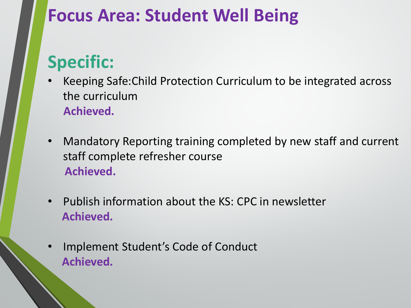#### **Focus Area: Student Well Being**

## **Specific:**

- Keeping Safe:Child Protection Curriculum to be integrated across the curriculum **Achieved.**
- Mandatory Reporting training completed by new staff and current staff complete refresher course **Achieved.**
- Publish information about the KS: CPC in newsletter **Achieved.**
- Implement Student's Code of Conduct **Achieved.**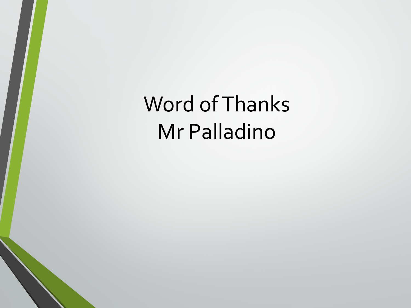Word of Thanks Mr Palladino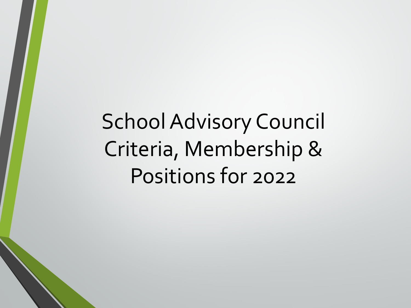School Advisory Council Criteria, Membership & Positions for 2022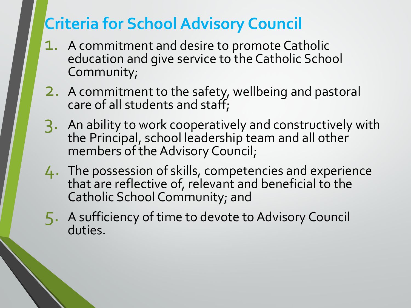#### **Criteria for School Advisory Council**

- 1. A commitment and desire to promote Catholic education and give service to the Catholic School Community;
- 2. A commitment to the safety, wellbeing and pastoral care of all students and staff;
- 3. An ability to work cooperatively and constructively with the Principal, school leadership team and all other members of the Advisory Council;
- 4. The possession of skills, competencies and experience that are reflective of, relevant and beneficial to the Catholic School Community; and
- 5. A sufficiency of time to devote to Advisory Council duties.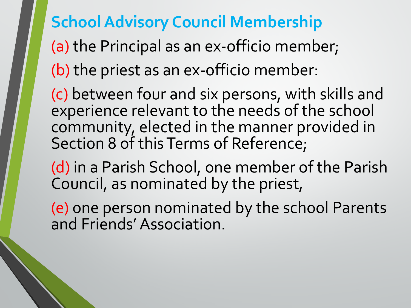#### **School Advisory Council Membership**

(a) the Principal as an ex-officio member; (b) the priest as an ex-officio member:

(c) between four and six persons, with skills and experience relevant to the needs of the school community, elected in the manner provided in Section 8 of this Terms of Reference;

(d) in a Parish School, one member of the Parish Council, as nominated by the priest,

(e) one person nominated by the school Parents and Friends' Association.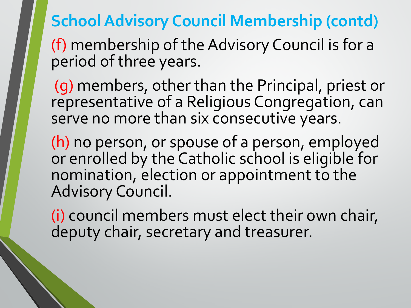**School Advisory Council Membership (contd)**

(f) membership of the Advisory Council is for a period of three years.

(g) members, other than the Principal, priest or representative of a Religious Congregation, can serve no more than six consecutive years.

(h) no person, or spouse of a person, employed or enrolled by the Catholic school is eligible for nomination, election or appointment to the Advisory Council.

(i) council members must elect their own chair, deputy chair, secretary and treasurer.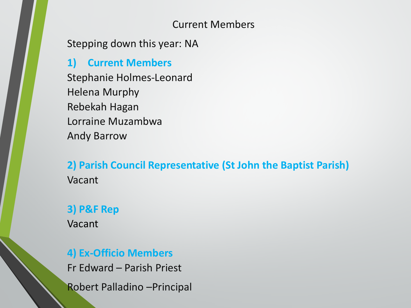#### Current Members

Stepping down this year: NA

**1) Current Members**  Stephanie Holmes-Leonard Helena Murphy Rebekah Hagan Lorraine Muzambwa Andy Barrow

**2) Parish Council Representative (St John the Baptist Parish)** Vacant

#### **3) P&F Rep**

Vacant

#### **4) Ex-Officio Members**

Fr Edward – Parish Priest Robert Palladino –Principal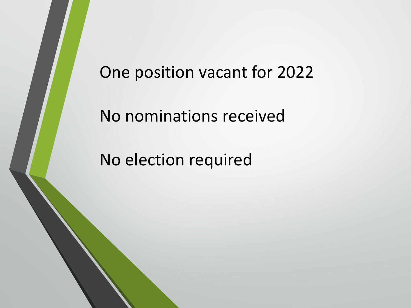#### One position vacant for 2022

No nominations received

No election required